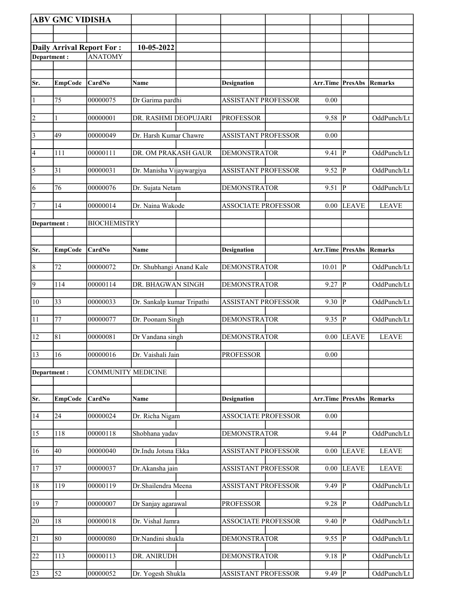|                | <b>ABV GMC VIDISHA</b> |                                  |                            |                            |                                 |                |              |
|----------------|------------------------|----------------------------------|----------------------------|----------------------------|---------------------------------|----------------|--------------|
|                |                        |                                  |                            |                            |                                 |                |              |
|                |                        | <b>Daily Arrival Report For:</b> | 10-05-2022                 |                            |                                 |                |              |
| Department:    |                        | <b>ANATOMY</b>                   |                            |                            |                                 |                |              |
|                |                        |                                  |                            |                            |                                 |                |              |
| Sr.            | <b>EmpCode</b>         | CardNo                           | Name                       | <b>Designation</b>         | Arr.Time                        | PresAbs        | Remarks      |
| $\vert$ 1      | 75                     | 00000075                         | Dr Garima pardhi           | <b>ASSISTANT PROFESSOR</b> | 0.00                            |                |              |
| $\vert$ 2      | $\mathbf{1}$           | 00000001                         | DR. RASHMI DEOPUJARI       | <b>PROFESSOR</b>           | 9.58                            | P              | OddPunch/Lt  |
| $\vert$ 3      | 49                     | 00000049                         | Dr. Harsh Kumar Chawre     | <b>ASSISTANT PROFESSOR</b> | 0.00                            |                |              |
| $\vert 4$      | 111                    | 00000111                         | DR. OM PRAKASH GAUR        | <b>DEMONSTRATOR</b>        | 9.41                            | lР             | OddPunch/Lt  |
| $\overline{5}$ | 31                     | 00000031                         | Dr. Manisha Vijaywargiya   | <b>ASSISTANT PROFESSOR</b> | 9.52                            | ∣P             | OddPunch/Lt  |
| 6              | 76                     | 00000076                         | Dr. Sujata Netam           | <b>DEMONSTRATOR</b>        | 9.51                            | $\overline{P}$ | OddPunch/Lt  |
| 17             | 14                     | 00000014                         | Dr. Naina Wakode           | <b>ASSOCIATE PROFESSOR</b> | 0.00                            | <b>LEAVE</b>   | <b>LEAVE</b> |
| Department:    |                        | <b>BIOCHEMISTRY</b>              |                            |                            |                                 |                |              |
|                |                        |                                  |                            |                            |                                 |                |              |
| Sr.            | <b>EmpCode</b>         | CardNo                           | Name                       | <b>Designation</b>         | Arr.Time                        | <b>PresAbs</b> | Remarks      |
| $\overline{8}$ | 72                     | 00000072                         | Dr. Shubhangi Anand Kale   | <b>DEMONSTRATOR</b>        | 10.01                           | Þ              | OddPunch/Lt  |
| $\overline{9}$ | 114                    | 00000114                         | DR. BHAGWAN SINGH          | <b>DEMONSTRATOR</b>        | 9.27                            | lР             | OddPunch/Lt  |
| $ 10\rangle$   | 33                     | 00000033                         | Dr. Sankalp kumar Tripathi | <b>ASSISTANT PROFESSOR</b> | 9.30                            | IР             | OddPunch/Lt  |
| 11             | 77                     | 00000077                         | Dr. Poonam Singh           | <b>DEMONSTRATOR</b>        | 9.35                            | <sup> </sup> P | OddPunch/Lt  |
| 12             | 81                     | 00000081                         | Dr Vandana singh           | <b>DEMONSTRATOR</b>        | 0.00                            | <b>LEAVE</b>   | <b>LEAVE</b> |
| 13             | 16                     | 00000016                         | Dr. Vaishali Jain          | <b>PROFESSOR</b>           | 0.00                            |                |              |
| Department:    |                        | <b>COMMUNITY MEDICINE</b>        |                            |                            |                                 |                |              |
|                |                        |                                  |                            |                            |                                 |                |              |
| Sr.            | <b>EmpCode</b>         | CardNo                           | <b>Name</b>                | <b>Designation</b>         | <b>Arr.Time PresAbs Remarks</b> |                |              |
| 14             | 24                     | 00000024                         | Dr. Richa Nigam            | <b>ASSOCIATE PROFESSOR</b> | 0.00                            |                |              |
| 15             | 118                    | 00000118                         | Shobhana yadav             | <b>DEMONSTRATOR</b>        | $9.44$ P                        |                | OddPunch/Lt  |
| 16             | 40                     | 00000040                         | Dr.Indu Jotsna Ekka        | <b>ASSISTANT PROFESSOR</b> | 0.00                            | <b>LEAVE</b>   | <b>LEAVE</b> |
| 17             | 37                     | 00000037                         | Dr.Akansha jain            | <b>ASSISTANT PROFESSOR</b> | 0.00                            | <b>LEAVE</b>   | <b>LEAVE</b> |
| 18             | 119                    | 00000119                         | Dr.Shailendra Meena        | <b>ASSISTANT PROFESSOR</b> | 9.49                            | ∣P             | OddPunch/Lt  |
| 19             | 7                      | 00000007                         | Dr Sanjay agarawal         | <b>PROFESSOR</b>           | 9.28                            | lР             | OddPunch/Lt  |
| 20             | 18                     | 00000018                         | Dr. Vishal Jamra           | <b>ASSOCIATE PROFESSOR</b> | 9.40                            | P              | OddPunch/Lt  |
| 21             | 80                     | 00000080                         | Dr.Nandini shukla          | <b>DEMONSTRATOR</b>        | 9.55                            | P              | OddPunch/Lt  |
| 22             | 113                    | 00000113                         | DR. ANIRUDH                | <b>DEMONSTRATOR</b>        | 9.18                            | p              | OddPunch/Lt  |
| $\sqrt{23}$    | 52                     | 00000052                         | Dr. Yogesh Shukla          | <b>ASSISTANT PROFESSOR</b> | 9.49   P                        |                | OddPunch/Lt  |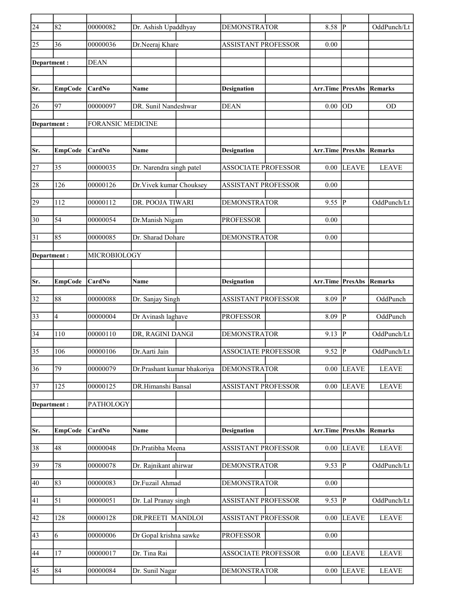| $\overline{24}$ | 82              | 00000082                 | Dr. Ashish Upaddhyay        | <b>DEMONSTRATOR</b>        | 8.58                            | lP.          | OddPunch/Lt            |
|-----------------|-----------------|--------------------------|-----------------------------|----------------------------|---------------------------------|--------------|------------------------|
| 25              | 36              | 00000036                 | Dr.Neeraj Khare             | ASSISTANT PROFESSOR        | 0.00                            |              |                        |
| Department:     |                 | <b>DEAN</b>              |                             |                            |                                 |              |                        |
|                 |                 |                          |                             |                            |                                 |              |                        |
| Sr.             | <b>EmpCode</b>  | CardNo                   | Name                        | <b>Designation</b>         | Arr.Time                        | PresAbs      | Remarks                |
| 26              | 97              | 00000097                 | DR. Sunil Nandeshwar        | <b>DEAN</b>                | 0.00                            | lod          | <b>OD</b>              |
| Department:     |                 | <b>FORANSIC MEDICINE</b> |                             |                            |                                 |              |                        |
| Sr.             | <b>EmpCode</b>  | CardNo                   | Name                        | <b>Designation</b>         | <b>Arr.Time PresAbs Remarks</b> |              |                        |
| 27              | 35              | 00000035                 | Dr. Narendra singh patel    | <b>ASSOCIATE PROFESSOR</b> | 0.00                            | <b>LEAVE</b> | <b>LEAVE</b>           |
|                 |                 |                          |                             |                            |                                 |              |                        |
| 28              | 126             | 00000126                 | Dr. Vivek kumar Chouksey    | <b>ASSISTANT PROFESSOR</b> | 0.00                            |              |                        |
| 29              | 112             | 00000112                 | DR. POOJA TIWARI            | <b>DEMONSTRATOR</b>        | 9.55                            | IР           | OddPunch/Lt            |
| 30              | 54              | 00000054                 | Dr.Manish Nigam             | <b>PROFESSOR</b>           | 0.00                            |              |                        |
| $\overline{31}$ | 85              | 00000085                 | Dr. Sharad Dohare           | <b>DEMONSTRATOR</b>        | 0.00                            |              |                        |
| Department:     |                 | MICROBIOLOGY             |                             |                            |                                 |              |                        |
|                 |                 |                          |                             |                            |                                 |              |                        |
| Sr.             | <b>EmpCode</b>  | CardNo                   | <b>Name</b>                 | <b>Designation</b>         | Arr.Time                        |              | <b>PresAbs Remarks</b> |
| 32              | 88              | 00000088                 | Dr. Sanjay Singh            | <b>ASSISTANT PROFESSOR</b> | 8.09                            | IР           | OddPunch               |
| $\overline{33}$ | 4               | 00000004                 | Dr Avinash laghave          | <b>PROFESSOR</b>           | 8.09                            | P            | OddPunch               |
| $\overline{34}$ | 110             | 00000110                 | DR, RAGINI DANGI            | <b>DEMONSTRATOR</b>        | 9.13                            | lР           | OddPunch/Lt            |
| 35              | 106             | 00000106                 | Dr.Aarti Jain               | <b>ASSOCIATE PROFESSOR</b> | 9.52                            | P            | OddPunch/Lt            |
| 36              | $\overline{79}$ | 00000079                 | Dr.Prashant kumar bhakoriya | <b>DEMONSTRATOR</b>        | 0.00                            | <b>LEAVE</b> | <b>LEAVE</b>           |
| 37              | 125             | 00000125                 | DR.Himanshi Bansal          | ASSISTANT PROFESSOR        | 0.00                            | <b>LEAVE</b> | <b>LEAVE</b>           |
| Department:     |                 | PATHOLOGY                |                             |                            |                                 |              |                        |
|                 |                 |                          |                             |                            |                                 |              |                        |
| Sr.             | <b>EmpCode</b>  | CardNo                   | Name                        | <b>Designation</b>         | Arr.Time                        | PresAbs      | Remarks                |
| 38              | 48              | 00000048                 | Dr.Pratibha Meena           | ASSISTANT PROFESSOR        | 0.00                            | <b>LEAVE</b> | <b>LEAVE</b>           |
| $ 39\rangle$    | 78              | 00000078                 | Dr. Rajnikant ahirwar       | <b>DEMONSTRATOR</b>        | $9.53$ P                        |              | OddPunch/Lt            |
| 40              | 83              | 00000083                 | Dr.Fuzail Ahmad             | <b>DEMONSTRATOR</b>        | 0.00                            |              |                        |
| 41              | 51              | 00000051                 | Dr. Lal Pranay singh        | <b>ASSISTANT PROFESSOR</b> | 9.53  P                         |              | OddPunch/Lt            |
| 42              | 128             | 00000128                 | DR.PREETI MANDLOI           | <b>ASSISTANT PROFESSOR</b> | 0.00                            | <b>LEAVE</b> | <b>LEAVE</b>           |
| 43              | 6               | 00000006                 | Dr Gopal krishna sawke      | <b>PROFESSOR</b>           | $0.00\,$                        |              |                        |
| 44              | 17              | 00000017                 | Dr. Tina Rai                | <b>ASSOCIATE PROFESSOR</b> | 0.00                            | <b>LEAVE</b> | <b>LEAVE</b>           |
| 45              | 84              | 00000084                 | Dr. Sunil Nagar             | <b>DEMONSTRATOR</b>        | 0.00                            | <b>LEAVE</b> | <b>LEAVE</b>           |
|                 |                 |                          |                             |                            |                                 |              |                        |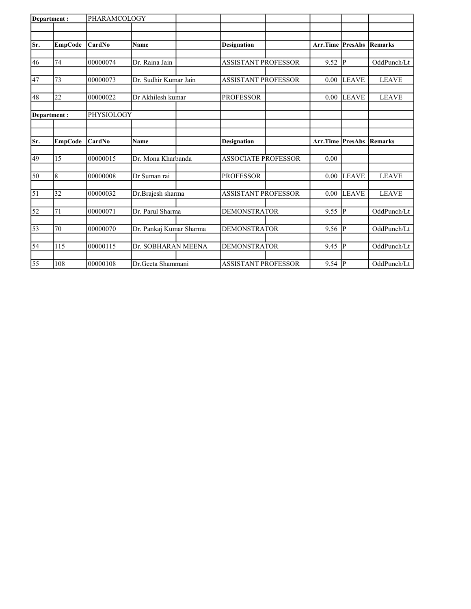| Department: |                | PHARAMCOLOGY |                         |                            |                         |              |              |
|-------------|----------------|--------------|-------------------------|----------------------------|-------------------------|--------------|--------------|
|             |                |              |                         |                            |                         |              |              |
| Sr.         | <b>EmpCode</b> | CardNo       | <b>Name</b>             | <b>Designation</b>         | <b>Arr.Time PresAbs</b> |              | Remarks      |
| 46          | 74             | 00000074     | Dr. Raina Jain          | <b>ASSISTANT PROFESSOR</b> | 9.52                    | p            | OddPunch/Lt  |
| 47          | 73             | 00000073     | Dr. Sudhir Kumar Jain   | <b>ASSISTANT PROFESSOR</b> | 0.00                    | <b>LEAVE</b> | <b>LEAVE</b> |
| 48          | 22             | 00000022     | Dr Akhilesh kumar       | <b>PROFESSOR</b>           | 0.00                    | <b>LEAVE</b> | <b>LEAVE</b> |
|             | Department:    | PHYSIOLOGY   |                         |                            |                         |              |              |
| Sr.         | <b>EmpCode</b> | CardNo       | <b>Name</b>             | <b>Designation</b>         | <b>Arr.Time PresAbs</b> |              | Remarks      |
| 49          | 15             | 00000015     | Dr. Mona Kharbanda      | <b>ASSOCIATE PROFESSOR</b> | 0.00                    |              |              |
| 50          | $\,$ 8 $\,$    | 00000008     | Dr Suman rai            | <b>PROFESSOR</b>           | 0.00                    | <b>LEAVE</b> | <b>LEAVE</b> |
| $\vert$ 51  | 32             | 00000032     | Dr.Brajesh sharma       | <b>ASSISTANT PROFESSOR</b> | 0.00                    | <b>LEAVE</b> | <b>LEAVE</b> |
| 52          | 71             | 00000071     | Dr. Parul Sharma        | <b>DEMONSTRATOR</b>        | 9.55                    | P            | OddPunch/Lt  |
| 53          | 70             | 00000070     | Dr. Pankaj Kumar Sharma | <b>DEMONSTRATOR</b>        | 9.56                    | p            | OddPunch/Lt  |
| 54          | 115            | 00000115     | Dr. SOBHARAN MEENA      | <b>DEMONSTRATOR</b>        | 9.45                    | P            | OddPunch/Lt  |
| 55          | 108            | 00000108     | Dr.Geeta Shammani       | <b>ASSISTANT PROFESSOR</b> | 9.54                    | P            | OddPunch/Lt  |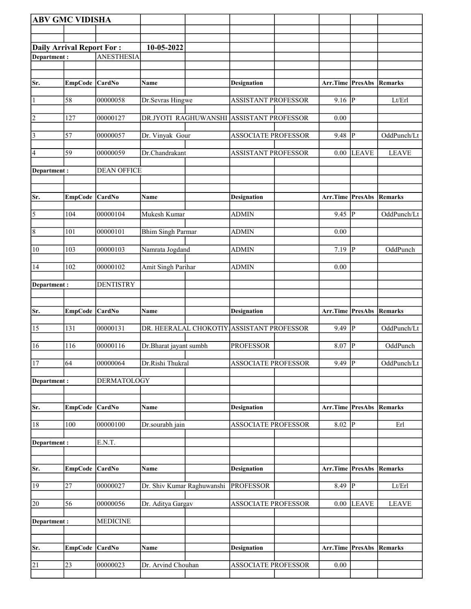| <b>ABV GMC VIDISHA</b>           |                |                    |                            |                                           |                  |                |                            |
|----------------------------------|----------------|--------------------|----------------------------|-------------------------------------------|------------------|----------------|----------------------------|
|                                  |                |                    |                            |                                           |                  |                |                            |
| <b>Daily Arrival Report For:</b> |                |                    | 10-05-2022                 |                                           |                  |                |                            |
| Department:                      |                | <b>ANESTHESIA</b>  |                            |                                           |                  |                |                            |
|                                  |                |                    |                            |                                           |                  |                |                            |
| Sr.                              | <b>EmpCode</b> | CardNo             | Name                       | <b>Designation</b>                        | Arr.Time PresAbs |                | Remarks                    |
| 1                                | 58             | 00000058           | Dr.Sevras Hingwe           | <b>ASSISTANT PROFESSOR</b>                | $9.16$ P         |                | Lt/Erl                     |
| $ 2\rangle$                      | 127            | 00000127           |                            | DR.JYOTI RAGHUWANSHI ASSISTANT PROFESSOR  | 0.00             |                |                            |
| $\vert$ 3                        | 57             | 00000057           | Dr. Vinyak Gour            | <b>ASSOCIATE PROFESSOR</b>                | 9.48             | P              | OddPunch/Lt                |
| 4                                | 59             | 00000059           | Dr.Chandrakant             | <b>ASSISTANT PROFESSOR</b>                | 0.00             | <b>LEAVE</b>   | <b>LEAVE</b>               |
| Department:                      |                | <b>DEAN OFFICE</b> |                            |                                           |                  |                |                            |
| Sr.                              | EmpCode CardNo |                    | <b>Name</b>                | <b>Designation</b>                        | Arr.Time PresAbs |                | Remarks                    |
| 5                                | 104            | 00000104           | Mukesh Kumar               | <b>ADMIN</b>                              | $9.45$ P         |                | OddPunch/Lt                |
| 8                                | 101            | 00000101           | <b>Bhim Singh Parmar</b>   | <b>ADMIN</b>                              | 0.00             |                |                            |
| 10                               | 103            | 00000103           | Namrata Jogdand            | <b>ADMIN</b>                              | 7.19             | P              | OddPunch                   |
| 14                               | 102            | 00000102           | Amit Singh Parihar         | <b>ADMIN</b>                              | 0.00             |                |                            |
| Department :                     |                | <b>DENTISTRY</b>   |                            |                                           |                  |                |                            |
|                                  |                |                    |                            |                                           |                  |                |                            |
| Sr.                              | EmpCode CardNo |                    | Name                       | <b>Designation</b>                        | Arr.Time PresAbs |                | Remarks                    |
| 15                               | 131            | 00000131           |                            | DR. HEERALAL CHOKOTIY ASSISTANT PROFESSOR | 9.49             | P              | OddPunch/Lt                |
| 16                               | 116            | 00000116           | Dr.Bharat jayant sumbh     | <b>PROFESSOR</b>                          | 8.07             | $\overline{P}$ | OddPunch                   |
| 17                               | 64             | 00000064           | Dr.Rishi Thukral           | <b>ASSOCIATE PROFESSOR</b>                | $9.49$ P         |                | OddPunch/Lt                |
| Department:                      |                | <b>DERMATOLOGY</b> |                            |                                           |                  |                |                            |
| Sr.                              | <b>EmpCode</b> | CardNo             | Name                       | <b>Designation</b>                        | Arr.Time PresAbs |                | <b>Remarks</b>             |
| 18                               | 100            | 00000100           | Dr.sourabh jain            | <b>ASSOCIATE PROFESSOR</b>                | 8.02             | P              | Erl                        |
| Department :                     |                | E.N.T.             |                            |                                           |                  |                |                            |
|                                  |                |                    |                            |                                           |                  |                |                            |
| Sr.                              | <b>EmpCode</b> | CardNo             | Name                       | <b>Designation</b>                        | Arr.Time PresAbs |                | <b>Remarks</b>             |
| 19                               | 27             | 00000027           | Dr. Shiv Kumar Raghuwanshi | <b>PROFESSOR</b>                          | $8.49$ P         |                | $\mathbf{Lt}/\mathbf{Erl}$ |
| 20                               | 56             | 00000056           | Dr. Aditya Gargav          | ASSOCIATE PROFESSOR                       | 0.00             | <b>LEAVE</b>   | <b>LEAVE</b>               |
| Department:                      |                | <b>MEDICINE</b>    |                            |                                           |                  |                |                            |
|                                  |                |                    |                            |                                           |                  |                |                            |
| Sr.                              | <b>EmpCode</b> | <b>CardNo</b>      | Name                       | <b>Designation</b>                        | Arr.Time PresAbs |                | Remarks                    |
| 21                               | 23             | 00000023           | Dr. Arvind Chouhan         | <b>ASSOCIATE PROFESSOR</b>                | $0.00\,$         |                |                            |
|                                  |                |                    |                            |                                           |                  |                |                            |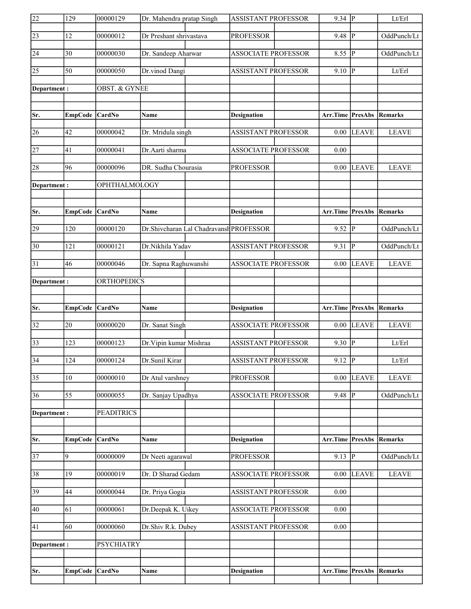|                 | 129              | 00000129                 | Dr. Mahendra pratap Singh               | <b>ASSISTANT PROFESSOR</b> | $9.34$ P                        |                               | Lt/Erl         |
|-----------------|------------------|--------------------------|-----------------------------------------|----------------------------|---------------------------------|-------------------------------|----------------|
| 23              | 12               | 00000012                 | Dr Preshant shrivastava                 | <b>PROFESSOR</b>           | 9.48                            | $\overline{\mathbb{P}}$       | OddPunch/Lt    |
| 24              | 30               | 00000030                 | Dr. Sandeep Aharwar                     | <b>ASSOCIATE PROFESSOR</b> | 8.55                            | P                             | OddPunch/Lt    |
| $\overline{25}$ | $\overline{50}$  | 00000050                 | Dr.vinod Dangi                          | <b>ASSISTANT PROFESSOR</b> | 9.10                            | P                             | Lt/Erl         |
| Department:     |                  | <b>OBST. &amp; GYNEE</b> |                                         |                            |                                 |                               |                |
|                 |                  |                          |                                         |                            |                                 |                               |                |
| Sr.             | <b>EmpCode</b>   | CardNo                   | <b>Name</b>                             | <b>Designation</b>         | Arr.Time PresAbs                |                               | Remarks        |
| 26              | 42               | 00000042                 | Dr. Mridula singh                       | <b>ASSISTANT PROFESSOR</b> | 0.00                            | <b>LEAVE</b>                  | <b>LEAVE</b>   |
| 27              | 41               | 00000041                 | Dr.Aarti sharma                         | <b>ASSOCIATE PROFESSOR</b> | 0.00                            |                               |                |
| 28              | 96               | 00000096                 | DR. Sudha Chourasia                     | <b>PROFESSOR</b>           | 0.00                            | <b>LEAVE</b>                  | <b>LEAVE</b>   |
| Department:     |                  | OPHTHALMOLOGY            |                                         |                            |                                 |                               |                |
|                 |                  |                          |                                         |                            |                                 |                               |                |
| Sr.             | EmpCode CardNo   |                          | <b>Name</b>                             | <b>Designation</b>         | <b>Arr.Time PresAbs Remarks</b> |                               |                |
| 29              | 120              | 00000120                 | Dr.Shivcharan Lal Chadravansh PROFESSOR |                            | 9.52                            | $\overline{P}$                | OddPunch/Lt    |
| $\overline{30}$ | 121              | 00000121                 | Dr.Nikhila Yadav                        | <b>ASSISTANT PROFESSOR</b> | 9.31                            | P                             | OddPunch/Lt    |
| 31              | 46               | 00000046                 | Dr. Sapna Raghuwanshi                   | <b>ASSOCIATE PROFESSOR</b> | 0.00                            | <b>LEAVE</b>                  | <b>LEAVE</b>   |
| Department :    |                  | ORTHOPEDICS              |                                         |                            |                                 |                               |                |
|                 |                  |                          |                                         |                            |                                 |                               |                |
| Sr.             | <b>EmpCode</b>   | <b>CardNo</b>            | Name                                    | <b>Designation</b>         | Arr.Time PresAbs                |                               | Remarks        |
|                 |                  |                          |                                         |                            |                                 |                               |                |
| 32              | 20               | 00000020                 | Dr. Sanat Singh                         | <b>ASSOCIATE PROFESSOR</b> |                                 | $\overline{0.00 \vert}$ LEAVE | <b>LEAVE</b>   |
| $\overline{33}$ | 123              | 00000123                 | Dr. Vipin kumar Mishraa                 | <b>ASSISTANT PROFESSOR</b> | $9.30$ P                        |                               | Lt/Erl         |
| $\overline{34}$ | $\overline{124}$ | 00000124                 | Dr.Sunil Kirar                          | <b>ASSISTANT PROFESSOR</b> | $9.12$ P                        |                               | Lt/Erl         |
| $\overline{35}$ | 10               | 00000010                 | Dr Atul varshney                        | <b>PROFESSOR</b>           | 0.00                            | <b>LEAVE</b>                  | <b>LEAVE</b>   |
| 36              | 55               | 00000055                 | Dr. Sanjay Upadhya                      | <b>ASSOCIATE PROFESSOR</b> | 9.48                            | P                             | OddPunch/Lt    |
| Department:     |                  | <b>PEADITRICS</b>        |                                         |                            |                                 |                               |                |
|                 |                  |                          |                                         |                            |                                 |                               |                |
| Sr.             | <b>EmpCode</b>   | CardNo                   | Name                                    | <b>Designation</b>         | Arr.Time PresAbs                |                               | <b>Remarks</b> |
| $\overline{37}$ | 9                | 00000009                 | Dr Neeti agarawal                       | <b>PROFESSOR</b>           | $9.13 \overline{P}$             |                               | OddPunch/Lt    |
| 38              | 19               | 00000019                 | Dr. D Sharad Gedam                      | <b>ASSOCIATE PROFESSOR</b> | 0.00                            | <b>LEAVE</b>                  | <b>LEAVE</b>   |
| 39              | 44               | 00000044                 | Dr. Priya Gogia                         | ASSISTANT PROFESSOR        | 0.00                            |                               |                |
| 40              | 61               | 00000061                 | Dr.Deepak K. Uikey                      | <b>ASSOCIATE PROFESSOR</b> | 0.00                            |                               |                |
| 41              | 60               | 00000060                 | Dr.Shiv R.k. Dubey                      | <b>ASSISTANT PROFESSOR</b> | 0.00                            |                               |                |
| Department :    |                  | <b>PSYCHIATRY</b>        |                                         |                            |                                 |                               |                |
|                 |                  |                          |                                         |                            |                                 |                               |                |